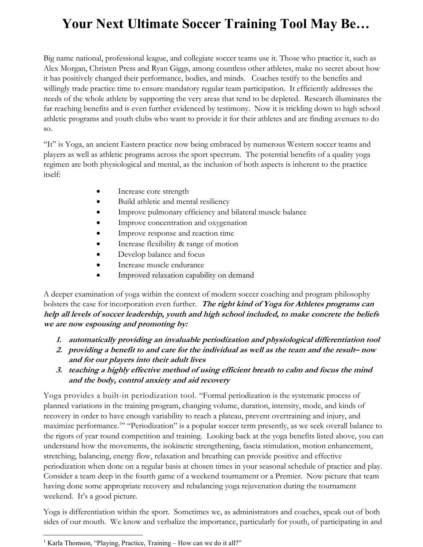## Your Next Ultimate Soccer Training Tool May Be…

Big name national, professional league, and collegiate soccer teams use it. Those who practice it, such as Alex Morgan, Christen Press and Ryan Giggs, among countless other athletes, make no secret about how it has positively changed their performance, bodies, and minds. Coaches testify to the benefits and willingly trade practice time to ensure mandatory regular team participation. It efficiently addresses the needs of the whole athlete by supporting the very areas that tend to be depleted. Research illuminates the far reaching benefits and is even further evidenced by testimony. Now it is trickling down to high school athletic programs and youth clubs who want to provide it for their athletes and are finding avenues to do so.

"It" is Yoga, an ancient Eastern practice now being embraced by numerous Western soccer teams and players as well as athletic programs across the sport spectrum. The potential benefits of a quality yoga regimen are both physiological and mental, as the inclusion of both aspects is inherent to the practice itself:

- Increase core strength
- Build athletic and mental resiliency
- Improve pulmonary efficiency and bilateral muscle balance
- **Improve concentration and oxygenation**
- Improve response and reaction time
- Increase flexibility & range of motion
- Develop balance and focus
- Increase muscle endurance
- Improved relaxation capability on demand

A deeper examination of yoga within the context of modern soccer coaching and program philosophy bolsters the case for incorporation even further. The right kind of Yoga for Athletes programs can help all levels of soccer leadership, youth and high school included, to make concrete the beliefs we are now espousing and promoting by:

- 1. automatically providing an invaluable periodization and physiological differentiation tool
- 2. providing a benefit to and care for the individual as well as the team and the result– now and for our players into their adult lives
- 3. teaching a highly effective method of using efficient breath to calm and focus the mind and the body, control anxiety and aid recovery

Yoga provides a built-in periodization tool. "Formal periodization is the systematic process of planned variations in the training program, changing volume, duration, intensity, mode, and kinds of recovery in order to have enough variability to reach a plateau, prevent overtraining and injury, and maximize performance.<sup>1</sup>" "Periodization" is a popular soccer term presently, as we seek overall balance to the rigors of year round competition and training. Looking back at the yoga benefits listed above, you can understand how the movements, the isokinetic strengthening, fascia stimulation, motion enhancement, stretching, balancing, energy flow, relaxation and breathing can provide positive and effective periodization when done on a regular basis at chosen times in your seasonal schedule of practice and play. Consider a team deep in the fourth game of a weekend tournament or a Premier. Now picture that team having done some appropriate recovery and rebalancing yoga rejuvenation during the tournament weekend. It's a good picture.

Yoga is differentiation within the sport. Sometimes we, as administrators and coaches, speak out of both sides of our mouth. We know and verbalize the importance, particularly for youth, of participating in and

<sup>&</sup>lt;sup>1</sup> Karla Thomson, "Playing, Practice, Training - How can we do it all?"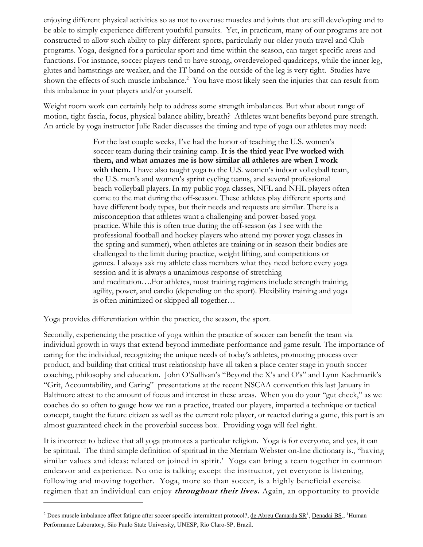enjoying different physical activities so as not to overuse muscles and joints that are still developing and to be able to simply experience different youthful pursuits. Yet, in practicum, many of our programs are not constructed to allow such ability to play different sports, particularly our older youth travel and Club programs. Yoga, designed for a particular sport and time within the season, can target specific areas and functions. For instance, soccer players tend to have strong, overdeveloped quadriceps, while the inner leg, glutes and hamstrings are weaker, and the IT band on the outside of the leg is very tight. Studies have shown the effects of such muscle imbalance.<sup>2</sup> You have most likely seen the injuries that can result from this imbalance in your players and/or yourself.

Weight room work can certainly help to address some strength imbalances. But what about range of motion, tight fascia, focus, physical balance ability, breath? Athletes want benefits beyond pure strength. An article by yoga instructor Julie Rader discusses the timing and type of yoga our athletes may need:

> For the last couple weeks, I've had the honor of teaching the U.S. women's soccer team during their training camp. It is the third year I've worked with them, and what amazes me is how similar all athletes are when I work with them. I have also taught yoga to the U.S. women's indoor volleyball team, the U.S. men's and women's sprint cycling teams, and several professional beach volleyball players. In my public yoga classes, NFL and NHL players often come to the mat during the off-season. These athletes play different sports and have different body types, but their needs and requests are similar. There is a misconception that athletes want a challenging and power-based yoga practice. While this is often true during the off-season (as I see with the professional football and hockey players who attend my power yoga classes in the spring and summer), when athletes are training or in-season their bodies are challenged to the limit during practice, weight lifting, and competitions or games. I always ask my athlete class members what they need before every yoga session and it is always a unanimous response of stretching and meditation….For athletes, most training regimens include strength training, agility, power, and cardio (depending on the sport). Flexibility training and yoga is often minimized or skipped all together…

Yoga provides differentiation within the practice, the season, the sport.

 $\overline{a}$ 

Secondly, experiencing the practice of yoga within the practice of soccer can benefit the team via individual growth in ways that extend beyond immediate performance and game result. The importance of caring for the individual, recognizing the unique needs of today's athletes, promoting process over product, and building that critical trust relationship have all taken a place center stage in youth soccer coaching, philosophy and education. John O'Sullivan's "Beyond the X's and O's" and Lynn Kachmarik's "Grit, Accountability, and Caring" presentations at the recent NSCAA convention this last January in Baltimore attest to the amount of focus and interest in these areas. When you do your "gut check," as we coaches do so often to gauge how we ran a practice, treated our players, imparted a technique or tactical concept, taught the future citizen as well as the current role player, or reacted during a game, this part is an almost guaranteed check in the proverbial success box. Providing yoga will feel right.

It is incorrect to believe that all yoga promotes a particular religion. Yoga is for everyone, and yes, it can be spiritual. The third simple definition of spiritual in the Merriam Webster on-line dictionary is., "having similar values and ideas: related or joined in spirit.' Yoga can bring a team together in common endeavor and experience. No one is talking except the instructor, yet everyone is listening, following and moving together. Yoga, more so than soccer, is a highly beneficial exercise regimen that an individual can enjoy *throughout their lives*. Again, an opportunity to provide

<sup>&</sup>lt;sup>2</sup> Does muscle imbalance affect fatigue after soccer specific intermittent protocol?, <u>de Abreu Camarda SR<sup>1</sup>, Denadai BS</u>., <sup>1</sup>Human Performance Laboratory, São Paulo State University, UNESP, Rio Claro-SP, Brazil.